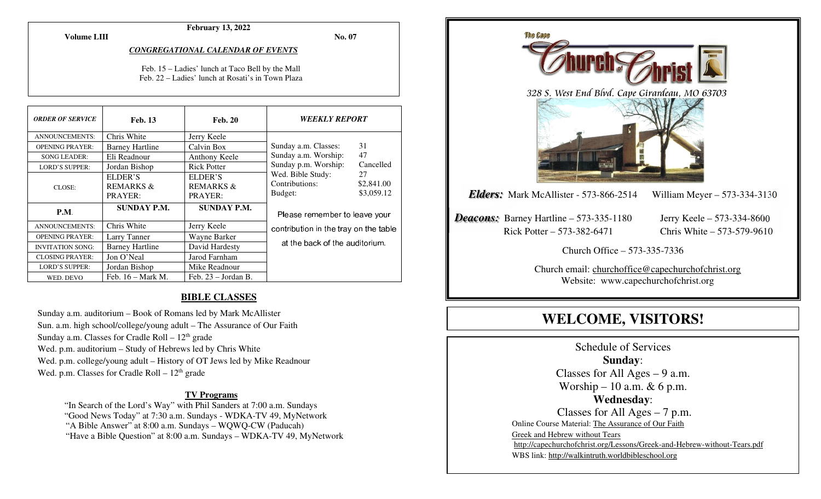**February 13, 2022** 

**Volume LIII**

**No. 07** 

#### *CONGREGATIONAL CALENDAR OF EVENTS*

Feb. 15 – Ladies' lunch at Taco Bell by the Mall Feb. 22 – Ladies' lunch at Rosati's in Town Plaza

| <b>ORDER OF SERVICE</b> | <b>Feb. 13</b>         | <b>Feb. 20</b>        | <i><b>WEEKLY REPORT</b></i>                                                                                                                         |    |
|-------------------------|------------------------|-----------------------|-----------------------------------------------------------------------------------------------------------------------------------------------------|----|
| <b>ANNOUNCEMENTS:</b>   | Chris White            | Jerry Keele           |                                                                                                                                                     |    |
| <b>OPENING PRAYER:</b>  | <b>Barney Hartline</b> | Calvin Box            | Sunday a.m. Classes:                                                                                                                                | 31 |
| <b>SONG LEADER:</b>     | Eli Readnour           | Anthony Keele         | 47<br>Sunday a.m. Worship:<br>Sunday p.m. Worship:<br>Cancelled<br>Wed. Bible Study:<br>27<br>Contributions:<br>\$2,841.00<br>\$3,059.12<br>Budget: |    |
| <b>LORD'S SUPPER:</b>   | Jordan Bishop          | <b>Rick Potter</b>    |                                                                                                                                                     |    |
| CLOSE:                  | ELDER'S                | ELDER'S               |                                                                                                                                                     |    |
|                         | <b>REMARKS &amp;</b>   | <b>REMARKS &amp;</b>  |                                                                                                                                                     |    |
|                         | PRAYER:                | PRAYER:               |                                                                                                                                                     |    |
| P.M.                    | <b>SUNDAY P.M.</b>     | <b>SUNDAY P.M.</b>    | Please remember to leave your<br>contribution in the tray on the table                                                                              |    |
| ANNOUNCEMENTS:          | Chris White            | Jerry Keele           |                                                                                                                                                     |    |
| <b>OPENING PRAYER:</b>  | Larry Tanner           | Wayne Barker          |                                                                                                                                                     |    |
| <b>INVITATION SONG:</b> | <b>Barney Hartline</b> | David Hardesty        | at the back of the auditorium.                                                                                                                      |    |
| <b>CLOSING PRAYER:</b>  | Jon O'Neal             | Jarod Farnham         |                                                                                                                                                     |    |
| <b>LORD'S SUPPER:</b>   | Jordan Bishop          | Mike Readnour         |                                                                                                                                                     |    |
| WED. DEVO               | Feb. $16 - Mark M$ .   | Feb. $23 - JordanB$ . |                                                                                                                                                     |    |

#### **BIBLE CLASSES**

Sunday a.m. auditorium – Book of Romans led by Mark McAllister Sun. a.m. high school/college/young adult – The Assurance of Our Faith Sunday a.m. Classes for Cradle Roll  $-12<sup>th</sup>$  grade Wed. p.m. auditorium – Study of Hebrews led by Chris White Wed. p.m. college/young adult – History of OT Jews led by Mike Readnour Wed. p.m. Classes for Cradle Roll  $-12<sup>th</sup>$  grade

#### **TV Programs**

 "In Search of the Lord's Way" with Phil Sanders at 7:00 a.m. Sundays "Good News Today" at 7:30 a.m. Sundays - WDKA-TV 49, MyNetwork "A Bible Answer" at 8:00 a.m. Sundays – WQWQ-CW (Paducah) "Have a Bible Question" at 8:00 a.m. Sundays – WDKA-TV 49, MyNetwork



**WELCOME, VISITORS!**

Schedule of Services **Sunday**: Classes for All Ages  $-9$  a.m. Worship – 10 a.m.  $& 6$  p.m. **Wednesday**: Classes for All Ages – 7 p.m. Online Course Material: The Assurance of Our Faith Greek and Hebrew without Tears http://capechurchofchrist.org/Lessons/Greek-and-Hebrew-without-Tears.pdfWBS link: http://walkintruth.worldbibleschool.org